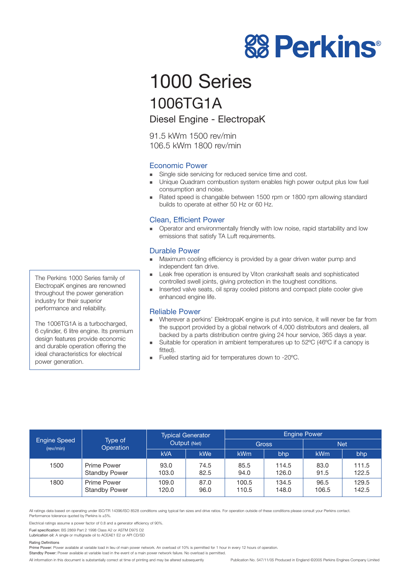

# 1000 Series 1006TG1A

Diesel Engine - ElectropaK

91.5 kWm 1500 rev/min 106.5 kWm 1800 rev/min

# Economic Power

- **EXECUTE:** Single side servicing for reduced service time and cost.
- ! Unique Quadram combustion system enables high power output plus low fuel consumption and noise.
- Rated speed is changable between 1500 rpm or 1800 rpm allowing standard builds to operate at either 50 Hz or 60 Hz.

# Clean, Efficient Power

! Operator and environmentally friendly with low noise, rapid startability and low emissions that satisfy TA Luft requirements.

# Durable Power

- Maximum cooling efficiency is provided by a gear driven water pump and independent fan drive.
- **EXECUTE:** Leak free operation is ensured by Viton crankshaft seals and sophisticated controlled swell joints, giving protection in the toughest conditions.
- ! Inserted valve seats, oil spray cooled pistons and compact plate cooler give enhanced engine life.

# Reliable Power

- Wherever a perkins' ElektropaK engine is put into service, it will never be far from the support provided by a global network of 4,000 distributors and dealers, all backed by a parts distribution centre giving 24 hour service, 365 days a year.
- Suitable for operation in ambient temperatures up to 52°C (46°C if a canopy is fitted).
- ! Fuelled starting aid for temperatures down to -20ºC.

| Engine Speed<br>(rev/min) | Type of<br>Operation                       | <b>Typical Generator</b><br>Output (Net) |              | <b>Engine Power</b> |                |               |                |
|---------------------------|--------------------------------------------|------------------------------------------|--------------|---------------------|----------------|---------------|----------------|
|                           |                                            |                                          |              | <b>Gross</b>        |                | <b>Net</b>    |                |
|                           |                                            | <b>kVA</b>                               | <b>kWe</b>   | <b>kWm</b>          | bhp            | <b>kWm</b>    | bhp            |
| 1500                      | <b>Prime Power</b><br><b>Standby Power</b> | 93.0<br>103.0                            | 74.5<br>82.5 | 85.5<br>94.0        | 114.5<br>126.0 | 83.0<br>91.5  | 111.5<br>122.5 |
| 1800                      | <b>Prime Power</b><br><b>Standby Power</b> | 109.0<br>120.0                           | 87.0<br>96.0 | 100.5<br>110.5      | 134.5<br>148.0 | 96.5<br>106.5 | 129.5<br>142.5 |

All ratings data based on operating under ISO/TR 14396/ISO 8528 conditions using typical fan sizes and drive ratios. For operation outside of these conditions please consult your Perkins contact. Performance tolerance quoted by Perkins is ±5%.

Electrical ratings assume a power factor of 0.8 and a generator efficiency of 90%.

Fuel specification: BS 2869 Part 2 1998 Class A2 or ASTM D975 D2

Lubrication oil: A single or multigrade oil to ACEAE1 E2 or API CD/SD

#### Rating Definitions

Prime Power: Power available at variable load in lieu of main power network. An overload of 10% is permitted for 1 hour in every 12 hours of operation.

Standby Power: Power available at variable load in the event of a main power network failure. No overload is permitted.

All information in this document is substantially correct at time of printing and may be altered subsequently Publication No. 547/11/05 Produced in England ©2005 Perkins Engines Company Limited

The Perkins 1000 Series family of ElectropaK engines are renowned throughout the power generation industry for their superior performance and reliability.

The 1006TG1A is a turbocharged, 6 cylinder, 6 litre engine. Its premium design features provide economic and durable operation offering the ideal characteristics for electrical power generation.